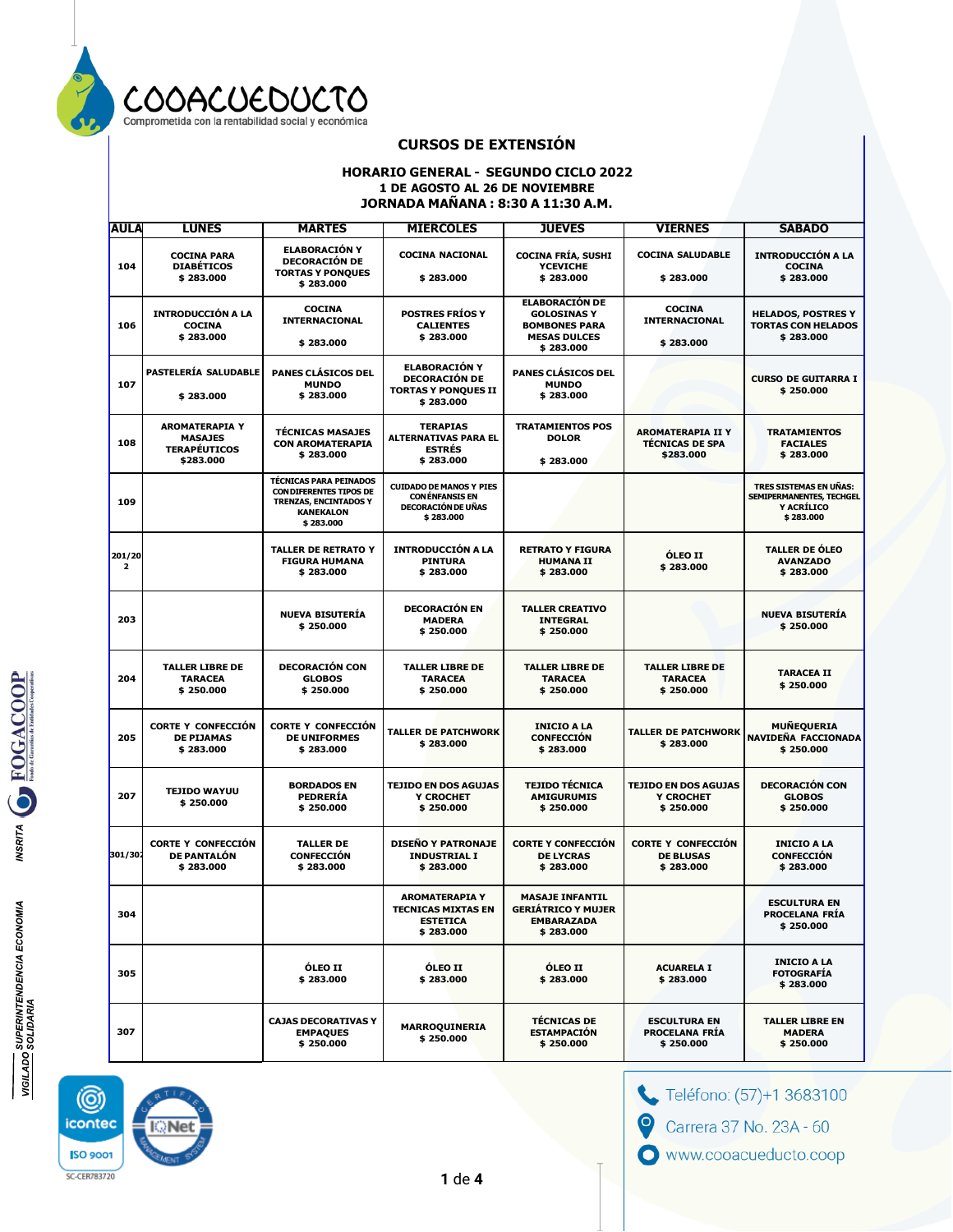

#### **HORARIO GENERAL - SEGUNDO CICLO 2022 1 DE AGOSTO AL 26 DE NOVIEMBRE JORNADA MAÑANA : 8:30 A 11:30 A.M.**

| <b>AULA</b>              | <b>LUNES</b>                                                                | <b>MARTES</b>                                                                                                                    | <b>MIERCOLES</b>                                                                                  | <b>JUEVES</b>                                                                                           | <b>VIERNES</b>                                                  | <b>SABADO</b>                                                                 |
|--------------------------|-----------------------------------------------------------------------------|----------------------------------------------------------------------------------------------------------------------------------|---------------------------------------------------------------------------------------------------|---------------------------------------------------------------------------------------------------------|-----------------------------------------------------------------|-------------------------------------------------------------------------------|
| 104                      | <b>COCINA PARA</b><br><b>DIABÉTICOS</b><br>\$283.000                        | <b>ELABORACIÓN Y</b><br><b>DECORACIÓN DE</b><br><b>TORTAS Y PONOUES</b><br>\$283.000                                             | <b>COCINA NACIONAL</b><br>\$283.000                                                               | <b>COCINA FRÍA, SUSHI</b><br><b>YCEVICHE</b><br>\$283.000                                               | <b>COCINA SALUDABLE</b><br>\$283.000                            | <b>INTRODUCCIÓN A LA</b><br><b>COCINA</b><br>\$283.000                        |
| 106                      | <b>INTRODUCCIÓN A LA</b><br><b>COCINA</b><br>\$283.000                      | <b>COCINA</b><br><b>INTERNACIONAL</b><br>\$283.000                                                                               | <b>POSTRES FRIOS Y</b><br><b>CALIENTES</b><br>\$283.000                                           | <b>ELABORACIÓN DE</b><br><b>GOLOSINAS Y</b><br><b>BOMBONES PARA</b><br><b>MESAS DULCES</b><br>\$283.000 | <b>COCINA</b><br><b>INTERNACIONAL</b><br>\$283.000              | <b>HELADOS, POSTRES Y</b><br><b>TORTAS CON HELADOS</b><br>\$283.000           |
| 107                      | PASTELERÍA SALUDABLE<br>\$283.000                                           | <b>PANES CLÁSICOS DEL</b><br><b>MUNDO</b><br>\$283.000                                                                           | <b>ELABORACIÓN Y</b><br><b>DECORACIÓN DE</b><br><b>TORTAS Y PONQUES II</b><br>\$283.000           | PANES CLÁSICOS DEL<br><b>MUNDO</b><br>\$283.000                                                         |                                                                 | <b>CURSO DE GUITARRA I</b><br>\$250.000                                       |
| 108                      | <b>AROMATERAPIA Y</b><br><b>MASAJES</b><br><b>TERAPÉUTICOS</b><br>\$283.000 | <b>TÉCNICAS MASAJES</b><br><b>CON AROMATERAPIA</b><br>\$283.000                                                                  | <b>TERAPIAS</b><br><b>ALTERNATIVAS PARA EL</b><br><b>ESTRÉS</b><br>\$283.000                      | <b>TRATAMIENTOS POS</b><br><b>DOLOR</b><br>\$283.000                                                    | <b>AROMATERAPIA II Y</b><br><b>TÉCNICAS DE SPA</b><br>\$283.000 | <b>TRATAMIENTOS</b><br><b>FACIALES</b><br>\$283.000                           |
| 109                      |                                                                             | <b>TÉCNICAS PARA PEINADOS</b><br><b>CON DIFERENTES TIPOS DE</b><br><b>TRENZAS, ENCINTADOS Y</b><br><b>KANEKALON</b><br>\$283.000 | <b>CUIDADO DE MANOS Y PIES</b><br><b>CONÉNFANSIS EN</b><br><b>DECORACIÓN DE UÑAS</b><br>\$283.000 |                                                                                                         |                                                                 | TRES SISTEMAS EN UÑAS:<br>SEMIPERMANENTES, TECHGEL<br>Y ACRÍLICO<br>\$283.000 |
| 201/20<br>$\overline{2}$ |                                                                             | <b>TALLER DE RETRATO Y</b><br><b>FIGURA HUMANA</b><br>\$283.000                                                                  | <b>INTRODUCCIÓN A LA</b><br><b>PINTURA</b><br>\$283.000                                           | <b>RETRATO Y FIGURA</b><br><b>HUMANA II</b><br>\$283.000                                                | <b>ÓLEO II</b><br>\$283.000                                     | <b>TALLER DE ÓLEO</b><br><b>AVANZADO</b><br>\$283.000                         |
| 203                      |                                                                             | <b>NUEVA BISUTERÍA</b><br>\$250,000                                                                                              | <b>DECORACIÓN EN</b><br><b>MADERA</b><br>\$250.000                                                | <b>TALLER CREATIVO</b><br><b>INTEGRAL</b><br>\$250.000                                                  |                                                                 | <b>NUEVA BISUTERÍA</b><br>\$250,000                                           |
| 204                      | <b>TALLER LIBRE DE</b><br><b>TARACEA</b><br>\$250.000                       | <b>DECORACIÓN CON</b><br><b>GLOBOS</b><br>\$250.000                                                                              | <b>TALLER LIBRE DE</b><br><b>TARACEA</b><br>\$250.000                                             | <b>TALLER LIBRE DE</b><br><b>TARACEA</b><br>\$250.000                                                   | <b>TALLER LIBRE DE</b><br><b>TARACEA</b><br>\$250.000           | <b>TARACEA II</b><br>\$250.000                                                |
| 205                      | <b>CORTE Y CONFECCIÓN</b><br><b>DE PIJAMAS</b><br>\$283.000                 | <b>CORTE Y CONFECCIÓN</b><br><b>DE UNIFORMES</b><br>\$283.000                                                                    | <b>TALLER DE PATCHWORK</b><br>\$283.000                                                           | <b>INICIO A LA</b><br><b>CONFECCIÓN</b><br>\$283.000                                                    | <b>TALLER DE PATCHWORK</b><br>\$283.000                         | <b>MUÑEQUERIA</b><br>NAVIDEÑA FACCIONADA<br>\$250.000                         |
| 207                      | <b>TEJIDO WAYUU</b><br>\$250.000                                            | <b>BORDADOS EN</b><br><b>PEDRERÍA</b><br>\$250.000                                                                               | <b>TEJIDO EN DOS AGUJAS</b><br>Y CROCHET<br>\$250.000                                             | <b>TEJIDO TÉCNICA</b><br><b>AMIGURUMIS</b><br>\$250.000                                                 | <b>TEJIDO EN DOS AGUJAS</b><br>Y CROCHET<br>\$250.000           | <b>DECORACIÓN CON</b><br><b>GLOBOS</b><br>\$250.000                           |
| 301/302                  | <b>CORTE Y CONFECCIÓN</b><br>DE PANTALÓN<br>\$283.000                       | <b>TALLER DE</b><br><b>CONFECCIÓN</b><br>\$283.000                                                                               | <b>DISEÑO Y PATRONAJE</b><br><b>INDUSTRIAL I</b><br>\$283.000                                     | <b>CORTE Y CONFECCIÓN</b><br><b>DE LYCRAS</b><br>\$283.000                                              | <b>CORTE Y CONFECCIÓN</b><br><b>DE BLUSAS</b><br>\$283.000      | <b>INICIO A LA</b><br><b>CONFECCIÓN</b><br>\$283.000                          |
| 304                      |                                                                             |                                                                                                                                  | <b>AROMATERAPIA Y</b><br><b>TECNICAS MIXTAS EN</b><br>ESTETICA<br>\$283.000                       | <b>MASAJE INFANTIL</b><br><b>GERIÁTRICO Y MUJER</b><br>EMBARAZADA<br>\$283.000                          |                                                                 | <b>ESCULTURA EN</b><br><b>PROCELANA FRIA</b><br>\$250.000                     |
| 305                      |                                                                             | <b>ÓLEO II</b><br>\$283.000                                                                                                      | <b>ÓLEO II</b><br>\$283.000                                                                       | <b>ÓLEO II</b><br>\$283.000                                                                             | <b>ACUARELA I</b><br>\$283.000                                  | <b>INICIO A LA</b><br><b>FOTOGRAFÍA</b><br>\$283.000                          |
| 307                      |                                                                             | <b>CAJAS DECORATIVAS Y</b><br><b>EMPAQUES</b><br>\$250.000                                                                       | MARROQUINERIA<br>\$250.000                                                                        | <b>TÉCNICAS DE</b><br><b>ESTAMPACIÓN</b><br>\$250.000                                                   | <b>ESCULTURA EN</b><br><b>PROCELANA FRÍA</b><br>\$250.000       | <b>TALLER LIBRE EN</b><br><b>MADERA</b><br>\$250.000                          |

(@) icontec :Ne **ISO 9001 SC-CER783720** 

Teléfono: (57)+1 3683100

Carrera 37 No. 23A - 60

 $\boldsymbol{\Theta}$ 

www.cooacueducto.coop

**1** de **4**

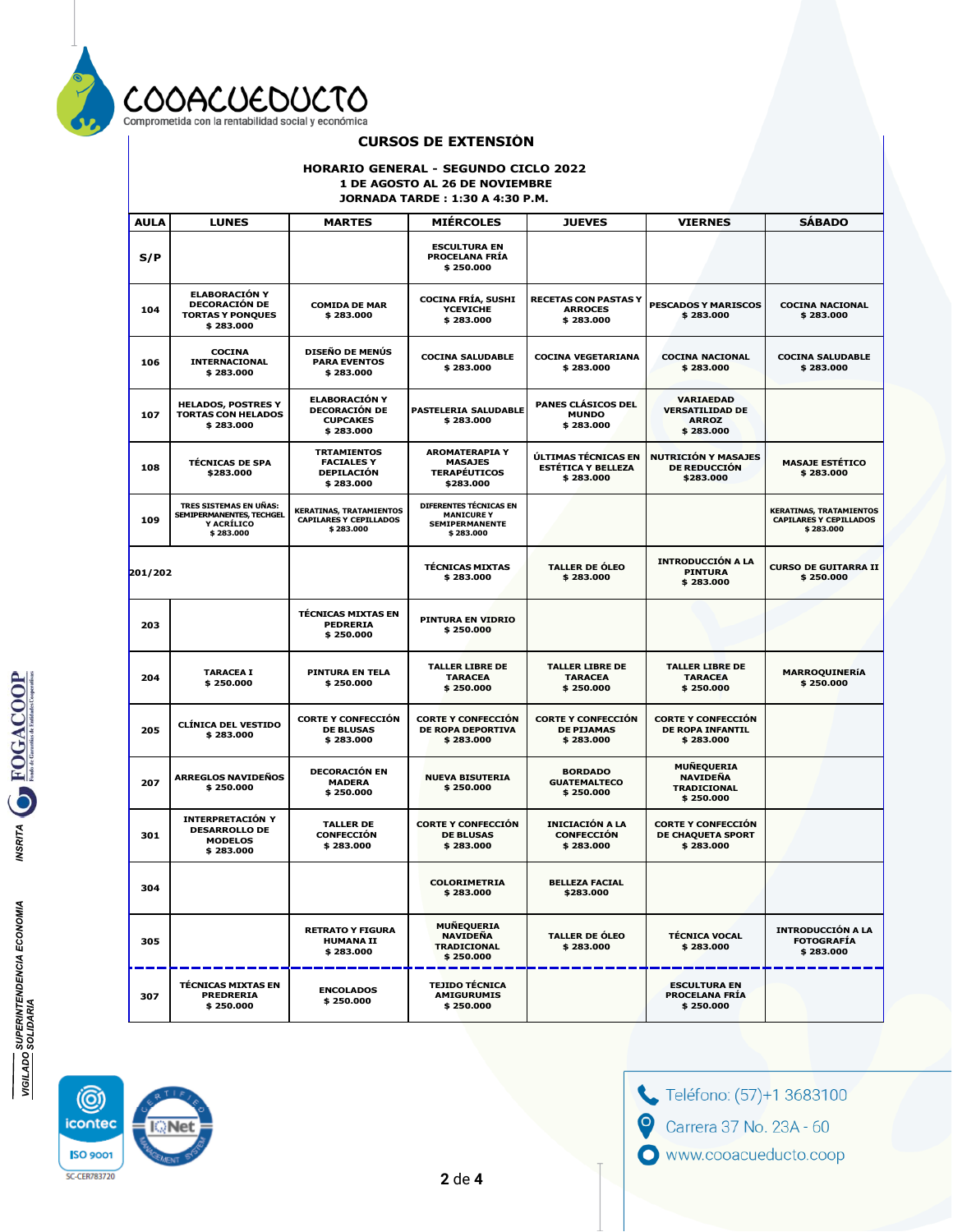

#### **HORARIO GENERAL - SEGUNDO CICLO 2022 1 DE AGOSTO AL 26 DE NOVIEMBRE**

**JORNADA TARDE : 1:30 A 4:30 P.M.**

| <b>AULA</b>                                                                | <b>LUNES</b>                                                                                                              | <b>MARTES</b>                                                                                                                                                                                                             | <b>MIÉRCOLES</b>                                                                  | <b>JUEVES</b>                                                  | <b>VIERNES</b>                                                          | <b>SÁBADO</b>                                                                |
|----------------------------------------------------------------------------|---------------------------------------------------------------------------------------------------------------------------|---------------------------------------------------------------------------------------------------------------------------------------------------------------------------------------------------------------------------|-----------------------------------------------------------------------------------|----------------------------------------------------------------|-------------------------------------------------------------------------|------------------------------------------------------------------------------|
| S/P                                                                        |                                                                                                                           |                                                                                                                                                                                                                           | <b>ESCULTURA EN</b><br><b>PROCELANA FRÍA</b><br>\$250.000                         |                                                                |                                                                         |                                                                              |
| 104                                                                        | <b>ELABORACIÓN Y</b><br><b>DECORACIÓN DE</b><br><b>COMIDA DE MAR</b><br>\$283.000<br><b>TORTAS Y PONQUES</b><br>\$283.000 |                                                                                                                                                                                                                           | <b>COCINA FRÍA, SUSHI</b><br><b>YCEVICHE</b><br>\$283.000                         | <b>RECETAS CON PASTAS Y</b><br><b>ARROCES</b><br>\$283.000     | <b>PESCADOS Y MARISCOS</b><br>\$283.000                                 | <b>COCINA NACIONAL</b><br>\$283.000                                          |
| 106                                                                        | <b>COCINA</b><br>INTERNACIONAL<br>\$283.000                                                                               | <b>DISEÑO DE MENÚS</b><br><b>PARA EVENTOS</b><br>\$283.000                                                                                                                                                                | <b>COCINA SALUDABLE</b><br>\$283.000                                              | <b>COCINA VEGETARIANA</b><br>\$283.000                         | <b>COCINA NACIONAL</b><br>\$283.000                                     | <b>COCINA SALUDABLE</b><br>\$283.000                                         |
| <b>HELADOS, POSTRES Y</b><br>107<br><b>TORTAS CON HELADOS</b><br>\$283.000 |                                                                                                                           | <b>ELABORACIÓN Y</b><br><b>DECORACIÓN DE</b><br><b>CUPCAKES</b><br>\$283.000                                                                                                                                              | PASTELERIA SALUDABLE<br>\$283.000                                                 | PANES CLÁSICOS DEL<br><b>MUNDO</b><br>\$283.000                | <b>VARIAEDAD</b><br><b>VERSATILIDAD DE</b><br><b>ARROZ</b><br>\$283.000 |                                                                              |
| 108                                                                        | <b>TÉCNICAS DE SPA</b><br>\$283.000                                                                                       | <b>AROMATERAPIA Y</b><br><b>TRTAMIENTOS</b><br>ÚLTIMAS TÉCNICAS EN<br><b>FACIALES Y</b><br><b>MASAJES</b><br><b>ESTÉTICA Y BELLEZA</b><br><b>TERAPÉUTICOS</b><br><b>DEPILACIÓN</b><br>\$283.000<br>\$283.000<br>\$283.000 |                                                                                   | <b>NUTRICIÓN Y MASAJES</b><br><b>DE REDUCCIÓN</b><br>\$283.000 | <b>MASAJE ESTÉTICO</b><br>\$283.000                                     |                                                                              |
| 109                                                                        | TRES SISTEMAS EN UÑAS:<br>SEMIPERMANENTES, TECHGEL<br><b>Y ACRÍLICO</b><br>\$283.000                                      | <b>KERATINAS, TRATAMIENTOS</b><br><b>CAPILARES Y CEPILLADOS</b><br>\$283.000                                                                                                                                              | DIFERENTES TÉCNICAS EN<br><b>MANICURE Y</b><br><b>SEMIPERMANENTE</b><br>\$283.000 |                                                                |                                                                         | <b>KERATINAS, TRATAMIENTOS</b><br><b>CAPILARES Y CEPILLADOS</b><br>\$283.000 |
| 201/202                                                                    |                                                                                                                           |                                                                                                                                                                                                                           | <b>TÉCNICAS MIXTAS</b><br>\$283.000                                               | <b>TALLER DE ÓLEO</b><br>\$283.000                             | <b>INTRODUCCIÓN A LA</b><br><b>PINTURA</b><br>\$283.000                 | <b>CURSO DE GUITARRA II</b><br>\$250.000                                     |
| 203                                                                        |                                                                                                                           | <b>TÉCNICAS MIXTAS EN</b><br><b>PEDRERIA</b><br>\$250.000                                                                                                                                                                 | PINTURA EN VIDRIO<br>\$250.000                                                    |                                                                |                                                                         |                                                                              |
| 204                                                                        | <b>TARACEA I</b><br>\$250.000                                                                                             | PINTURA EN TELA<br>\$250.000                                                                                                                                                                                              | <b>TALLER LIBRE DE</b><br><b>TARACEA</b><br>\$250.000                             | <b>TALLER LIBRE DE</b><br><b>TARACEA</b><br>\$250.000          | <b>TALLER LIBRE DE</b><br><b>TARACEA</b><br>\$250.000                   | <b>MARROQUINERÍA</b><br>\$250.000                                            |
| 205                                                                        | <b>CLÍNICA DEL VESTIDO</b><br>\$283.000                                                                                   | <b>CORTE Y CONFECCIÓN</b><br><b>DE BLUSAS</b><br>\$283.000                                                                                                                                                                | <b>CORTE Y CONFECCIÓN</b><br><b>DE ROPA DEPORTIVA</b><br>\$283.000                | <b>CORTE Y CONFECCIÓN</b><br><b>DE PIJAMAS</b><br>\$283.000    | <b>CORTE Y CONFECCIÓN</b><br><b>DE ROPA INFANTIL</b><br>\$283.000       |                                                                              |
| 207                                                                        | <b>ARREGLOS NAVIDEÑOS</b><br>\$250.000                                                                                    | <b>DECORACIÓN EN</b><br><b>MADERA</b><br>\$250.000                                                                                                                                                                        | <b>NUEVA BISUTERIA</b><br>\$250.000                                               | <b>BORDADO</b><br><b>GUATEMALTECO</b><br>\$250.000             | <b>MUÑEQUERIA</b><br><b>NAVIDEÑA</b><br><b>TRADICIONAL</b><br>\$250.000 |                                                                              |
| 301                                                                        | INTERPRETACIÓN Y<br><b>DESARROLLO DE</b><br><b>MODELOS</b><br>\$283.000                                                   | <b>TALLER DE</b><br><b>CONFECCIÓN</b><br>\$283.000                                                                                                                                                                        | <b>CORTE Y CONFECCIÓN</b><br><b>DE BLUSAS</b><br>\$283.000                        | <b>INICIACIÓN A LA</b><br><b>CONFECCIÓN</b><br>\$283.000       | <b>CORTE Y CONFECCIÓN</b><br>DE CHAQUETA SPORT<br>\$283.000             |                                                                              |
| 304                                                                        |                                                                                                                           |                                                                                                                                                                                                                           | <b>COLORIMETRIA</b><br>\$283.000                                                  | <b>BELLEZA FACIAL</b><br>\$283.000                             |                                                                         |                                                                              |
| 305                                                                        |                                                                                                                           | <b>RETRATO Y FIGURA</b><br><b>HUMANA II</b><br>\$283.000                                                                                                                                                                  | <b>MUÑEQUERIA</b><br>NAVIDEÑA<br><b>TRADICIONAL</b><br>\$250.000                  | <b>TALLER DE ÓLEO</b><br>\$283.000                             | <b>TÉCNICA VOCAL</b><br>\$283.000                                       | <b>INTRODUCCIÓN A LA</b><br><b>FOTOGRAFÍA</b><br>\$283,000                   |
| 307                                                                        | <b>TÉCNICAS MIXTAS EN</b><br><b>PREDRERIA</b><br>\$250.000                                                                | <b>ENCOLADOS</b><br>\$250.000                                                                                                                                                                                             | <b>TEJIDO TÉCNICA</b><br><b>AMIGURUMIS</b><br>\$250.000                           |                                                                | <b>ESCULTURA EN</b><br><b>PROCELANA FRÍA</b><br>\$250.000               |                                                                              |

Teléfono: (57)+1 3683100 Carrera 37 No. 23A - 60  $\mathbf 0$ www.cooacueducto.coop

MSRITA OF FOGACOOP

**VIGILADO SUPERINTENDENCIA ECONOMIA**<br>VIGILADO SOLIDARIA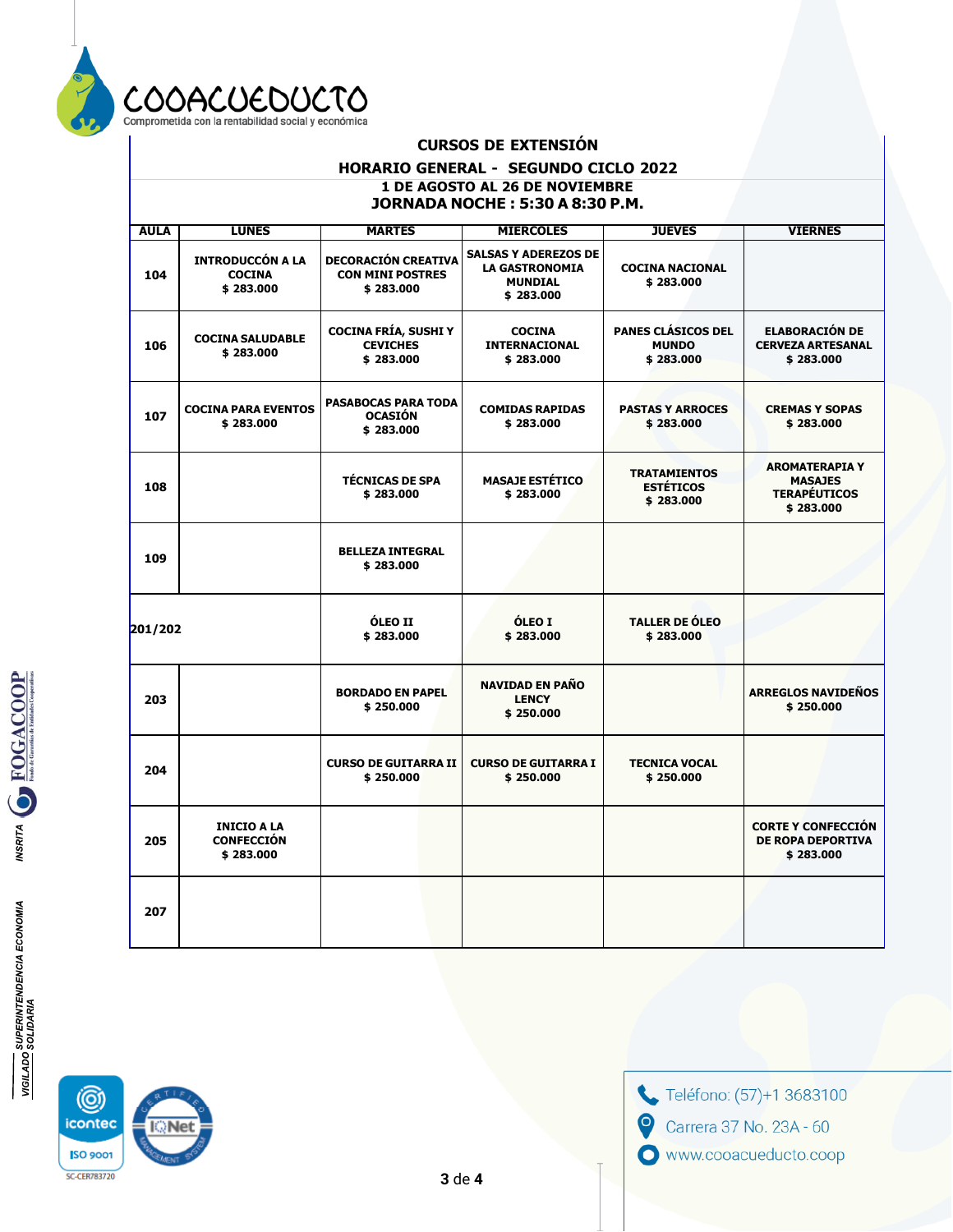

### HORARIO GENERAL - SEGUNDO CICLO 2022 1 DE AGOSTO AL 26 DE NOVIEMBRE **JORNADA NOCHE: 5:30 A 8:30 P.M.**

| <b>AULA</b> | <b>LUNES</b>                                          | <b>MARTES</b>                                                      | <b>MIERCOLES</b>                                                                    | <b>JUEVES</b>                                        | <b>VIERNES</b>                                                              |
|-------------|-------------------------------------------------------|--------------------------------------------------------------------|-------------------------------------------------------------------------------------|------------------------------------------------------|-----------------------------------------------------------------------------|
| 104         | <b>INTRODUCCÓN A LA</b><br><b>COCINA</b><br>\$283,000 | <b>DECORACIÓN CREATIVA</b><br><b>CON MINI POSTRES</b><br>\$283,000 | <b>SALSAS Y ADEREZOS DE</b><br><b>LA GASTRONOMIA</b><br><b>MUNDIAL</b><br>\$283.000 | <b>COCINA NACIONAL</b><br>\$283.000                  |                                                                             |
| 106         | <b>COCINA SALUDABLE</b><br>\$283.000                  | <b>COCINA FRÍA, SUSHI Y</b><br><b>CEVICHES</b><br>\$283.000        | <b>COCINA</b><br>INTERNACIONAL<br>\$283.000                                         | PANES CLÁSICOS DEL<br><b>MUNDO</b><br>\$283.000      | <b>ELABORACIÓN DE</b><br><b>CERVEZA ARTESANAL</b><br>\$283.000              |
| 107         | <b>COCINA PARA EVENTOS</b><br>\$283,000               | <b>PASABOCAS PARA TODA</b><br><b>OCASIÓN</b><br>\$283.000          | <b>COMIDAS RAPIDAS</b><br>\$283,000                                                 | <b>PASTAS Y ARROCES</b><br>\$283,000                 | <b>CREMAS Y SOPAS</b><br>\$283.000                                          |
| 108         |                                                       | <b>TÉCNICAS DE SPA</b><br>\$283.000                                | <b>MASAJE ESTÉTICO</b><br>\$283.000                                                 | <b>TRATAMIENTOS</b><br><b>ESTÉTICOS</b><br>\$283.000 | <b>AROMATERAPIA Y</b><br><b>MASAJES</b><br><b>TERAPÉUTICOS</b><br>\$283.000 |
| 109         |                                                       | <b>BELLEZA INTEGRAL</b><br>\$283.000                               |                                                                                     |                                                      |                                                                             |
| 201/202     |                                                       | <b>ÓLEO II</b><br>\$283.000                                        | ÓLEO I<br>\$283,000                                                                 | <b>TALLER DE ÓLEO</b><br>\$283,000                   |                                                                             |
| 203         |                                                       | <b>BORDADO EN PAPEL</b><br>\$250.000                               | <b>NAVIDAD EN PAÑO</b><br><b>LENCY</b><br>\$250.000                                 |                                                      | <b>ARREGLOS NAVIDEÑOS</b><br>\$250.000                                      |
| 204         |                                                       | <b>CURSO DE GUITARRA II</b><br>\$250.000                           | <b>CURSO DE GUITARRA I</b><br>\$250.000                                             | <b>TECNICA VOCAL</b><br>\$250.000                    |                                                                             |
| 205         | <b>INICIO A LA</b><br><b>CONFECCIÓN</b><br>\$283.000  |                                                                    |                                                                                     |                                                      | <b>CORTE Y CONFECCIÓN</b><br><b>DE ROPA DEPORTIVA</b><br>\$283.000          |
| 207         |                                                       |                                                                    |                                                                                     |                                                      |                                                                             |